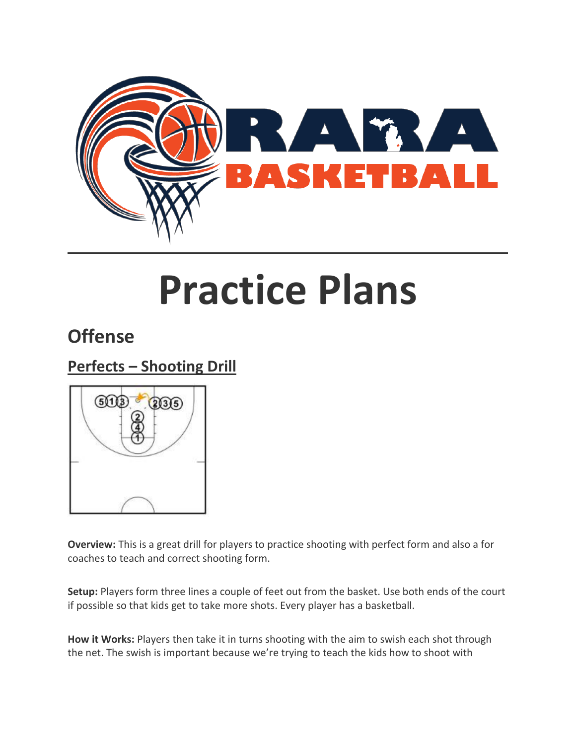

# **Practice Plans**

# **Offense**

## **Perfects – Shooting Drill**



**Overview:** This is a great drill for players to practice shooting with perfect form and also a for coaches to teach and correct shooting form.

**Setup:** Players form three lines a couple of feet out from the basket. Use both ends of the court if possible so that kids get to take more shots. Every player has a basketball.

**How it Works:** Players then take it in turns shooting with the aim to swish each shot through the net. The swish is important because we're trying to teach the kids how to shoot with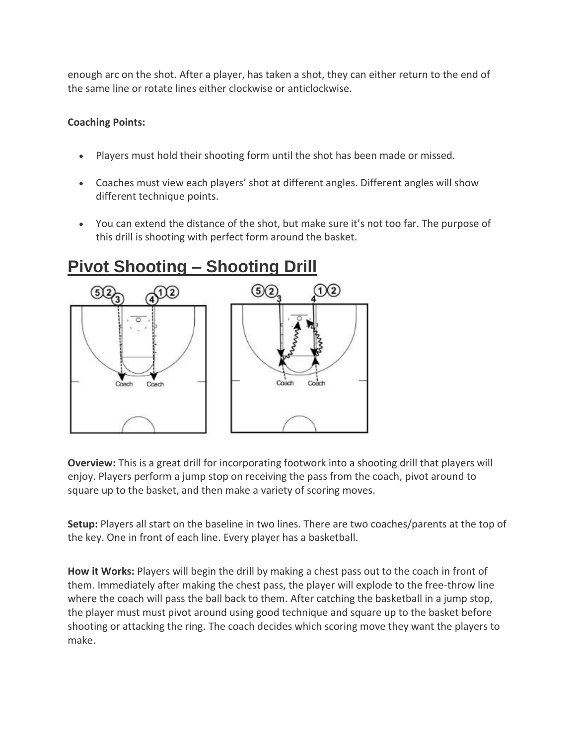enough arc on the shot. After a player, has taken a shot, they can either return to the end of the same line or rotate lines either clockwise or anticlockwise.

## **Coaching Points:**

- Players must hold their shooting form until the shot has been made or missed.
- Coaches must view each players' shot at different angles. Different angles will show different technique points.
- You can extend the distance of the shot, but make sure it's not too far. The purpose of this drill is shooting with perfect form around the basket.



# **Pivot Shooting – Shooting Drill**

**Overview:** This is a great drill for incorporating footwork into a shooting drill that players will enjoy. Players perform a jump stop on receiving the pass from the coach, pivot around to square up to the basket, and then make a variety of scoring moves.

**Setup:** Players all start on the baseline in two lines. There are two coaches/parents at the top of the key. One in front of each line. Every player has a basketball.

**How it Works:** Players will begin the drill by making a chest pass out to the coach in front of them. Immediately after making the chest pass, the player will explode to the free-throw line where the coach will pass the ball back to them. After catching the basketball in a jump stop, the player must must pivot around using good technique and square up to the basket before shooting or attacking the ring. The coach decides which scoring move they want the players to make.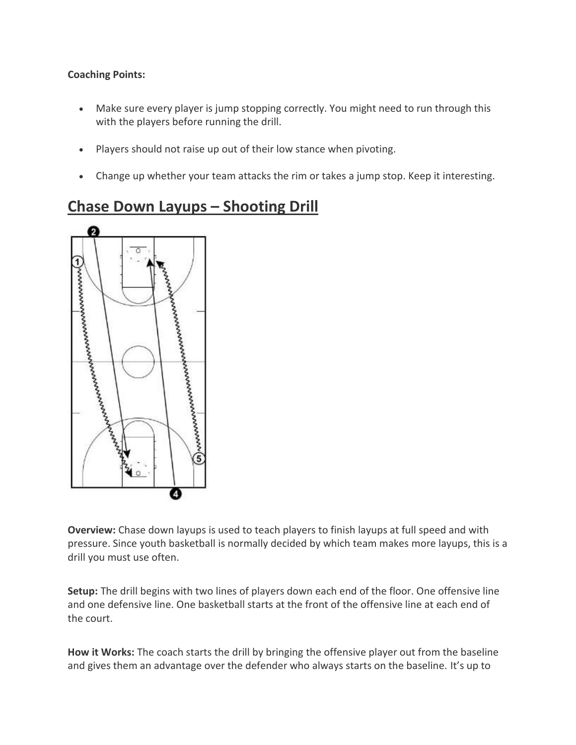- Make sure every player is jump stopping correctly. You might need to run through this with the players before running the drill.
- Players should not raise up out of their low stance when pivoting.
- Change up whether your team attacks the rim or takes a jump stop. Keep it interesting.

## **Chase Down Layups – Shooting Drill**



**Overview:** Chase down layups is used to teach players to finish layups at full speed and with pressure. Since youth basketball is normally decided by which team makes more layups, this is a drill you must use often.

**Setup:** The drill begins with two lines of players down each end of the floor. One offensive line and one defensive line. One basketball starts at the front of the offensive line at each end of the court.

**How it Works:** The coach starts the drill by bringing the offensive player out from the baseline and gives them an advantage over the defender who always starts on the baseline. It's up to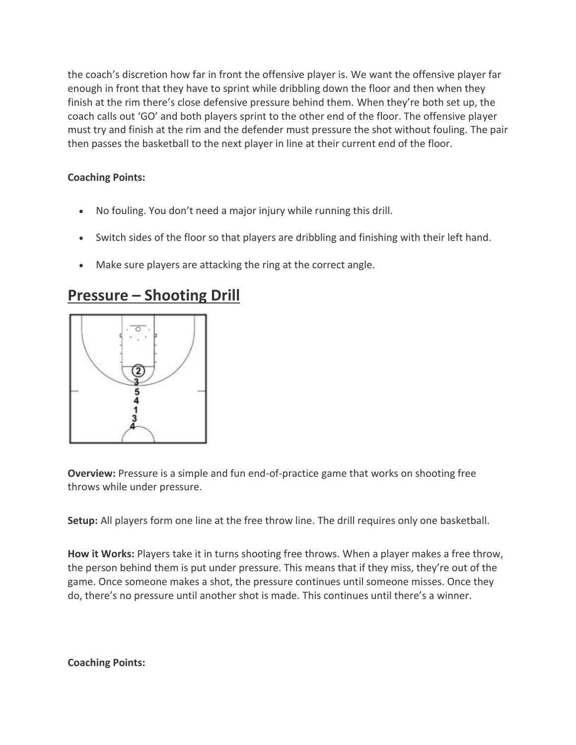the coach's discretion how far in front the offensive player is. We want the offensive player far enough in front that they have to sprint while dribbling down the floor and then when they finish at the rim there's close defensive pressure behind them. When they're both set up, the coach calls out 'GO' and both players sprint to the other end of the floor. The offensive player must try and finish at the rim and the defender must pressure the shot without fouling. The pair then passes the basketball to the next player in line at their current end of the floor.

## **Coaching Points:**

- No fouling. You don't need a major injury while running this drill.
- Switch sides of the floor so that players are dribbling and finishing with their left hand.
- Make sure players are attacking the ring at the correct angle.

## **Pressure – Shooting Drill**



**Overview:** Pressure is a simple and fun end-of-practice game that works on shooting free throws while under pressure.

**Setup:** All players form one line at the free throw line. The drill requires only one basketball.

**How it Works:** Players take it in turns shooting free throws. When a player makes a free throw, the person behind them is put under pressure. This means that if they miss, they're out of the game. Once someone makes a shot, the pressure continues until someone misses. Once they do, there's no pressure until another shot is made. This continues until there's a winner.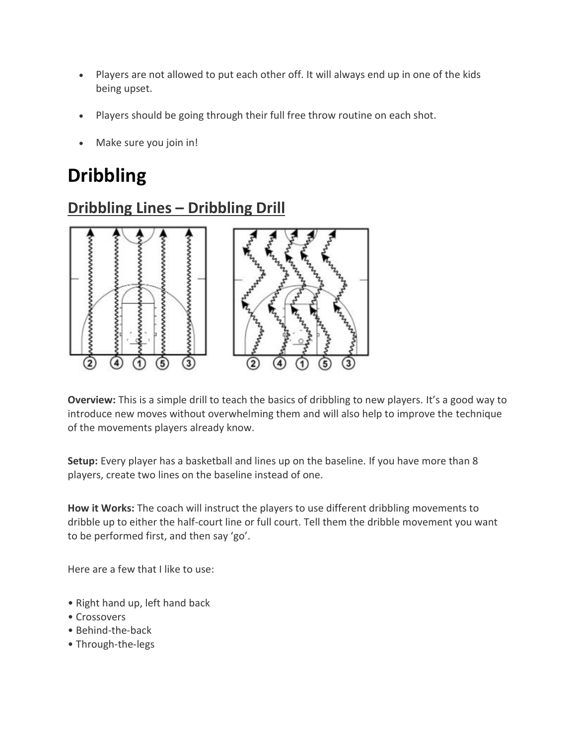- Players are not allowed to put each other off. It will always end up in one of the kids being upset.
- Players should be going through their full free throw routine on each shot.
- Make sure you join in!

# **Dribbling**



**Dribbling Lines – Dribbling Drill**

**Overview:** This is a simple drill to teach the basics of dribbling to new players. It's a good way to introduce new moves without overwhelming them and will also help to improve the technique of the movements players already know.

**Setup:** Every player has a basketball and lines up on the baseline. If you have more than 8 players, create two lines on the baseline instead of one.

**How it Works:** The coach will instruct the players to use different dribbling movements to dribble up to either the half-court line or full court. Tell them the dribble movement you want to be performed first, and then say 'go'.

Here are a few that I like to use:

- Right hand up, left hand back
- Crossovers
- Behind-the-back
- Through-the-legs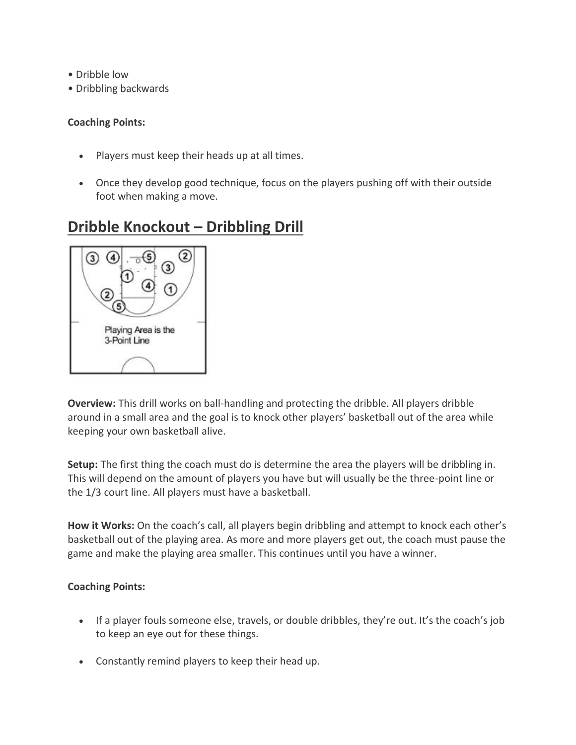- Dribble low
- Dribbling backwards

- Players must keep their heads up at all times.
- Once they develop good technique, focus on the players pushing off with their outside foot when making a move.

## **Dribble Knockout – Dribbling Drill**



**Overview:** This drill works on ball-handling and protecting the dribble. All players dribble around in a small area and the goal is to knock other players' basketball out of the area while keeping your own basketball alive.

**Setup:** The first thing the coach must do is determine the area the players will be dribbling in. This will depend on the amount of players you have but will usually be the three-point line or the 1/3 court line. All players must have a basketball.

**How it Works:** On the coach's call, all players begin dribbling and attempt to knock each other's basketball out of the playing area. As more and more players get out, the coach must pause the game and make the playing area smaller. This continues until you have a winner.

- If a player fouls someone else, travels, or double dribbles, they're out. It's the coach's job to keep an eye out for these things.
- Constantly remind players to keep their head up.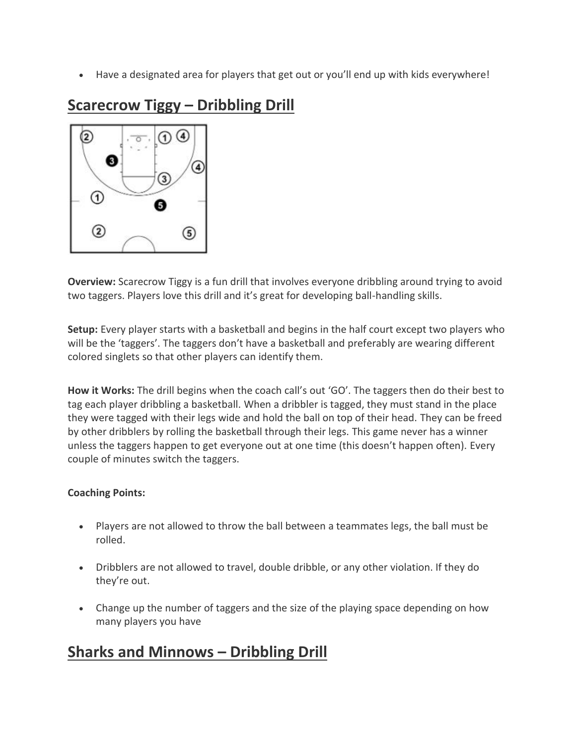Have a designated area for players that get out or you'll end up with kids everywhere!

## $\bf{2}$  $(4)$  $(1)$ 3 ➀ 6  $\left( 2\right)$  $\circledS$

## **Scarecrow Tiggy – Dribbling Drill**

**Overview:** Scarecrow Tiggy is a fun drill that involves everyone dribbling around trying to avoid two taggers. Players love this drill and it's great for developing ball-handling skills.

**Setup:** Every player starts with a basketball and begins in the half court except two players who will be the 'taggers'. The taggers don't have a basketball and preferably are wearing different colored singlets so that other players can identify them.

**How it Works:** The drill begins when the coach call's out 'GO'. The taggers then do their best to tag each player dribbling a basketball. When a dribbler is tagged, they must stand in the place they were tagged with their legs wide and hold the ball on top of their head. They can be freed by other dribblers by rolling the basketball through their legs. This game never has a winner unless the taggers happen to get everyone out at one time (this doesn't happen often). Every couple of minutes switch the taggers.

## **Coaching Points:**

- Players are not allowed to throw the ball between a teammates legs, the ball must be rolled.
- Dribblers are not allowed to travel, double dribble, or any other violation. If they do they're out.
- Change up the number of taggers and the size of the playing space depending on how many players you have

## **Sharks and Minnows – Dribbling Drill**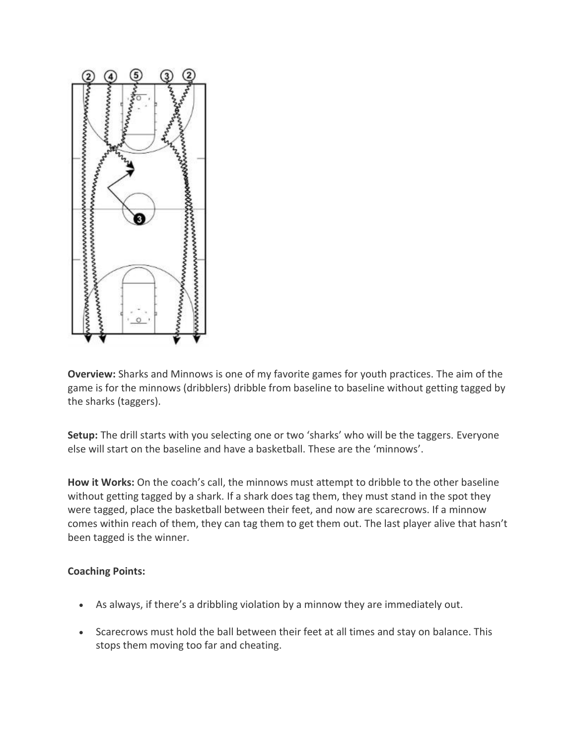

**Overview:** Sharks and Minnows is one of my favorite games for youth practices. The aim of the game is for the minnows (dribblers) dribble from baseline to baseline without getting tagged by the sharks (taggers).

**Setup:** The drill starts with you selecting one or two 'sharks' who will be the taggers. Everyone else will start on the baseline and have a basketball. These are the 'minnows'.

**How it Works:** On the coach's call, the minnows must attempt to dribble to the other baseline without getting tagged by a shark. If a shark does tag them, they must stand in the spot they were tagged, place the basketball between their feet, and now are scarecrows. If a minnow comes within reach of them, they can tag them to get them out. The last player alive that hasn't been tagged is the winner.

- As always, if there's a dribbling violation by a minnow they are immediately out.
- Scarecrows must hold the ball between their feet at all times and stay on balance. This stops them moving too far and cheating.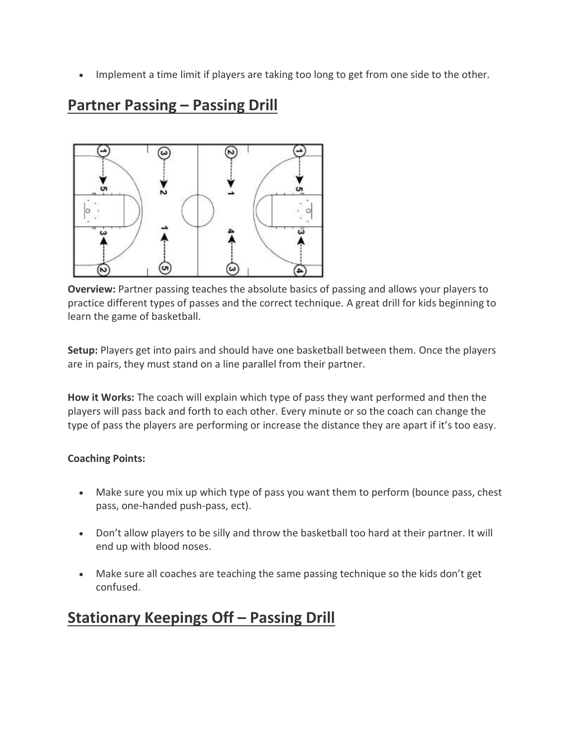• Implement a time limit if players are taking too long to get from one side to the other.

## **Partner Passing – Passing Drill**



**Overview:** Partner passing teaches the absolute basics of passing and allows your players to practice different types of passes and the correct technique. A great drill for kids beginning to learn the game of basketball.

**Setup:** Players get into pairs and should have one basketball between them. Once the players are in pairs, they must stand on a line parallel from their partner.

**How it Works:** The coach will explain which type of pass they want performed and then the players will pass back and forth to each other. Every minute or so the coach can change the type of pass the players are performing or increase the distance they are apart if it's too easy.

#### **Coaching Points:**

- Make sure you mix up which type of pass you want them to perform (bounce pass, chest pass, one-handed push-pass, ect).
- Don't allow players to be silly and throw the basketball too hard at their partner. It will end up with blood noses.
- Make sure all coaches are teaching the same passing technique so the kids don't get confused.

## **Stationary Keepings Off - Passing Drill**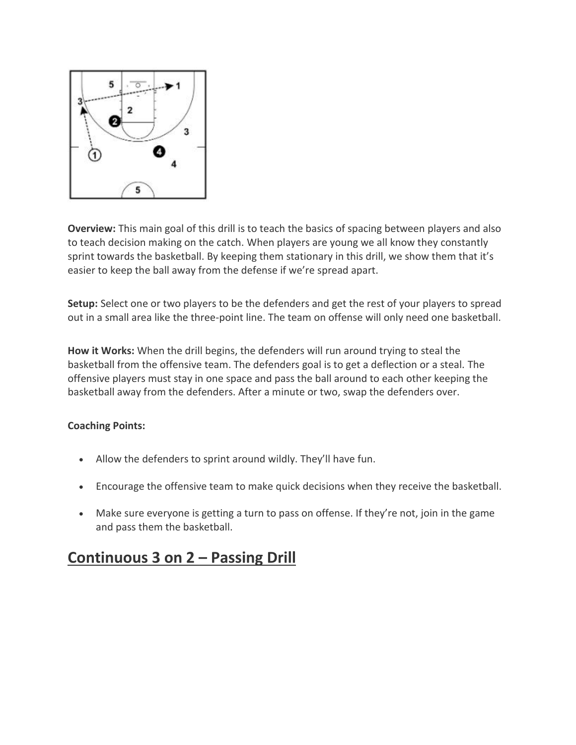

**Overview:** This main goal of this drill is to teach the basics of spacing between players and also to teach decision making on the catch. When players are young we all know they constantly sprint towards the basketball. By keeping them stationary in this drill, we show them that it's easier to keep the ball away from the defense if we're spread apart.

**Setup:** Select one or two players to be the defenders and get the rest of your players to spread out in a small area like the three-point line. The team on offense will only need one basketball.

**How it Works:** When the drill begins, the defenders will run around trying to steal the basketball from the offensive team. The defenders goal is to get a deflection or a steal. The offensive players must stay in one space and pass the ball around to each other keeping the basketball away from the defenders. After a minute or two, swap the defenders over.

#### **Coaching Points:**

- Allow the defenders to sprint around wildly. They'll have fun.
- Encourage the offensive team to make quick decisions when they receive the basketball.
- Make sure everyone is getting a turn to pass on offense. If they're not, join in the game and pass them the basketball.

## **Continuous 3 on 2 – Passing Drill**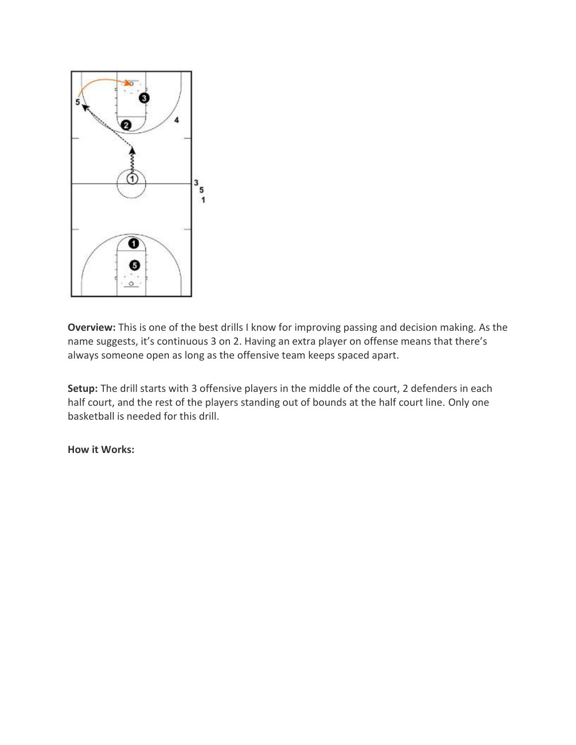

**Overview:** This is one of the best drills I know for improving passing and decision making. As the name suggests, it's continuous 3 on 2. Having an extra player on offense means that there's always someone open as long as the offensive team keeps spaced apart.

**Setup:** The drill starts with 3 offensive players in the middle of the court, 2 defenders in each half court, and the rest of the players standing out of bounds at the half court line. Only one basketball is needed for this drill.

#### **How it Works:**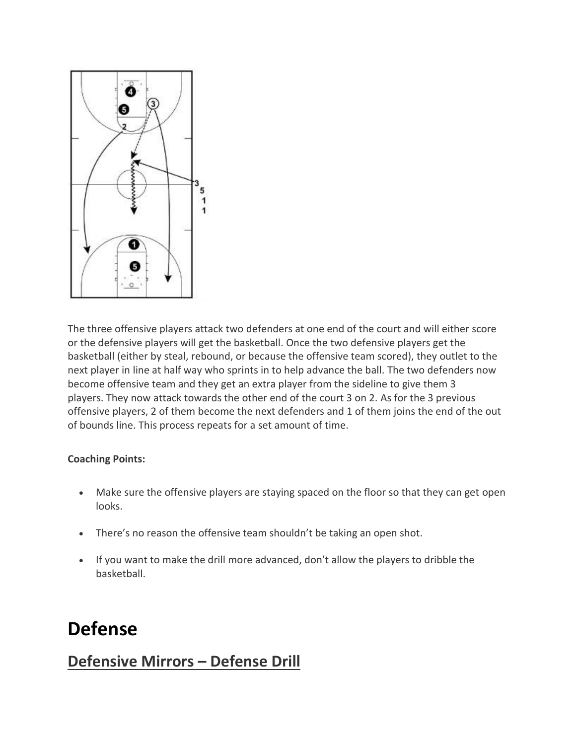

The three offensive players attack two defenders at one end of the court and will either score or the defensive players will get the basketball. Once the two defensive players get the basketball (either by steal, rebound, or because the offensive team scored), they outlet to the next player in line at half way who sprints in to help advance the ball. The two defenders now become offensive team and they get an extra player from the sideline to give them 3 players. They now attack towards the other end of the court 3 on 2. As for the 3 previous offensive players, 2 of them become the next defenders and 1 of them joins the end of the out of bounds line. This process repeats for a set amount of time.

#### **Coaching Points:**

- Make sure the offensive players are staying spaced on the floor so that they can get open looks.
- There's no reason the offensive team shouldn't be taking an open shot.
- If you want to make the drill more advanced, don't allow the players to dribble the basketball.

# **Defense**

## **Defensive Mirrors – Defense Drill**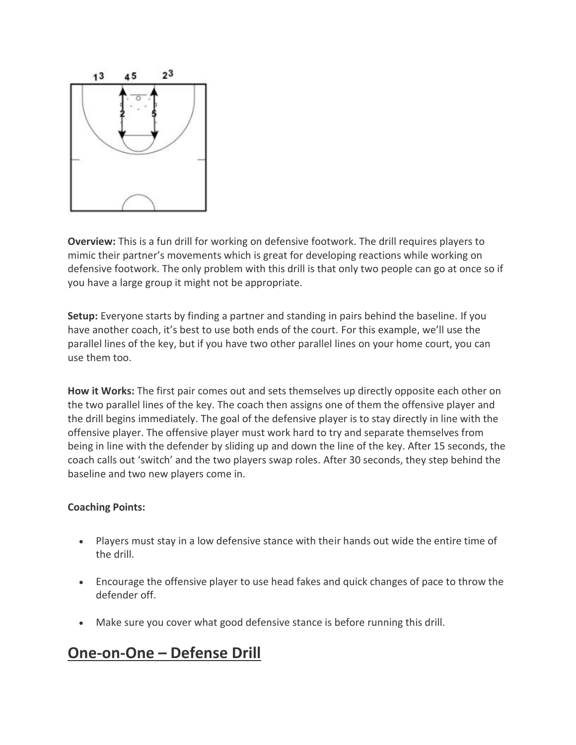

**Overview:** This is a fun drill for working on defensive footwork. The drill requires players to mimic their partner's movements which is great for developing reactions while working on defensive footwork. The only problem with this drill is that only two people can go at once so if you have a large group it might not be appropriate.

**Setup:** Everyone starts by finding a partner and standing in pairs behind the baseline. If you have another coach, it's best to use both ends of the court. For this example, we'll use the parallel lines of the key, but if you have two other parallel lines on your home court, you can use them too.

**How it Works:** The first pair comes out and sets themselves up directly opposite each other on the two parallel lines of the key. The coach then assigns one of them the offensive player and the drill begins immediately. The goal of the defensive player is to stay directly in line with the offensive player. The offensive player must work hard to try and separate themselves from being in line with the defender by sliding up and down the line of the key. After 15 seconds, the coach calls out 'switch' and the two players swap roles. After 30 seconds, they step behind the baseline and two new players come in.

#### **Coaching Points:**

- Players must stay in a low defensive stance with their hands out wide the entire time of the drill.
- Encourage the offensive player to use head fakes and quick changes of pace to throw the defender off.
- Make sure you cover what good defensive stance is before running this drill.

## **One-on-One – Defense Drill**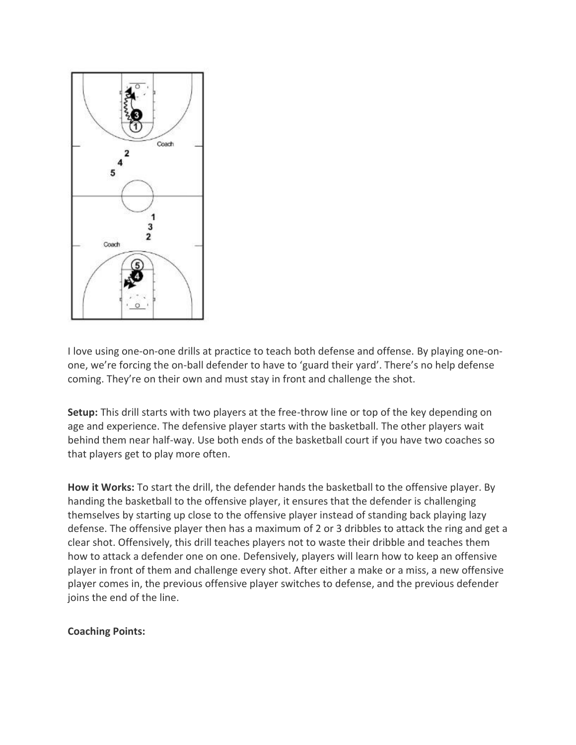

I love using one-on-one drills at practice to teach both defense and offense. By playing one-onone, we're forcing the on-ball defender to have to 'guard their yard'. There's no help defense coming. They're on their own and must stay in front and challenge the shot.

**Setup:** This drill starts with two players at the free-throw line or top of the key depending on age and experience. The defensive player starts with the basketball. The other players wait behind them near half-way. Use both ends of the basketball court if you have two coaches so that players get to play more often.

**How it Works:** To start the drill, the defender hands the basketball to the offensive player. By handing the basketball to the offensive player, it ensures that the defender is challenging themselves by starting up close to the offensive player instead of standing back playing lazy defense. The offensive player then has a maximum of 2 or 3 dribbles to attack the ring and get a clear shot. Offensively, this drill teaches players not to waste their dribble and teaches them how to attack a defender one on one. Defensively, players will learn how to keep an offensive player in front of them and challenge every shot. After either a make or a miss, a new offensive player comes in, the previous offensive player switches to defense, and the previous defender joins the end of the line.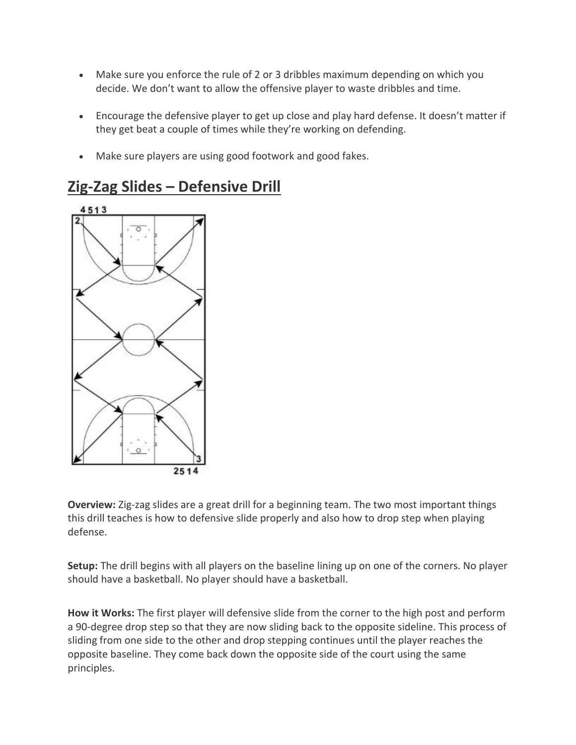- Make sure you enforce the rule of 2 or 3 dribbles maximum depending on which you decide. We don't want to allow the offensive player to waste dribbles and time.
- Encourage the defensive player to get up close and play hard defense. It doesn't matter if they get beat a couple of times while they're working on defending.
- Make sure players are using good footwork and good fakes.



## **Zig-Zag Slides – Defensive Drill**

**Overview:** Zig-zag slides are a great drill for a beginning team. The two most important things this drill teaches is how to defensive slide properly and also how to drop step when playing defense.

**Setup:** The drill begins with all players on the baseline lining up on one of the corners. No player should have a basketball. No player should have a basketball.

**How it Works:** The first player will defensive slide from the corner to the high post and perform a 90-degree drop step so that they are now sliding back to the opposite sideline. This process of sliding from one side to the other and drop stepping continues until the player reaches the opposite baseline. They come back down the opposite side of the court using the same principles.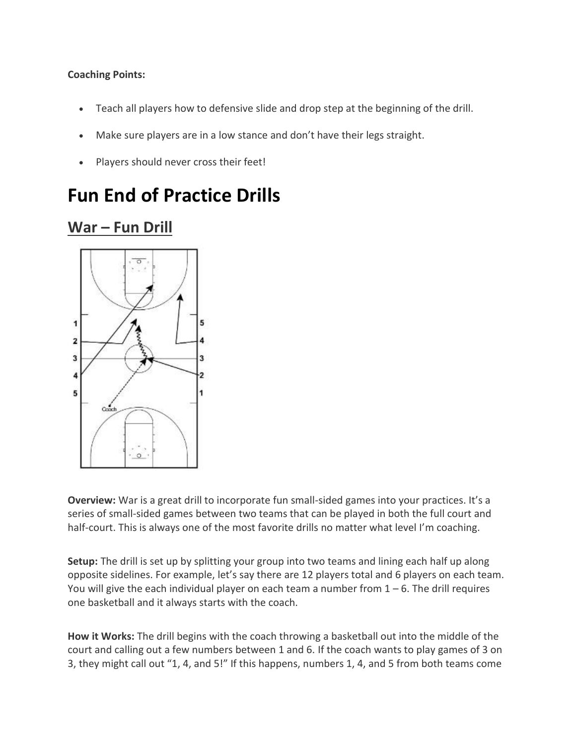- Teach all players how to defensive slide and drop step at the beginning of the drill.
- Make sure players are in a low stance and don't have their legs straight.
- Players should never cross their feet!

# **Fun End of Practice Drills**

## **War – Fun Drill**



**Overview:** War is a great drill to incorporate fun small-sided games into your practices. It's a series of small-sided games between two teams that can be played in both the full court and half-court. This is always one of the most favorite drills no matter what level I'm coaching.

**Setup:** The drill is set up by splitting your group into two teams and lining each half up along opposite sidelines. For example, let's say there are 12 players total and 6 players on each team. You will give the each individual player on each team a number from  $1 - 6$ . The drill requires one basketball and it always starts with the coach.

**How it Works:** The drill begins with the coach throwing a basketball out into the middle of the court and calling out a few numbers between 1 and 6. If the coach wants to play games of 3 on 3, they might call out "1, 4, and 5!" If this happens, numbers 1, 4, and 5 from both teams come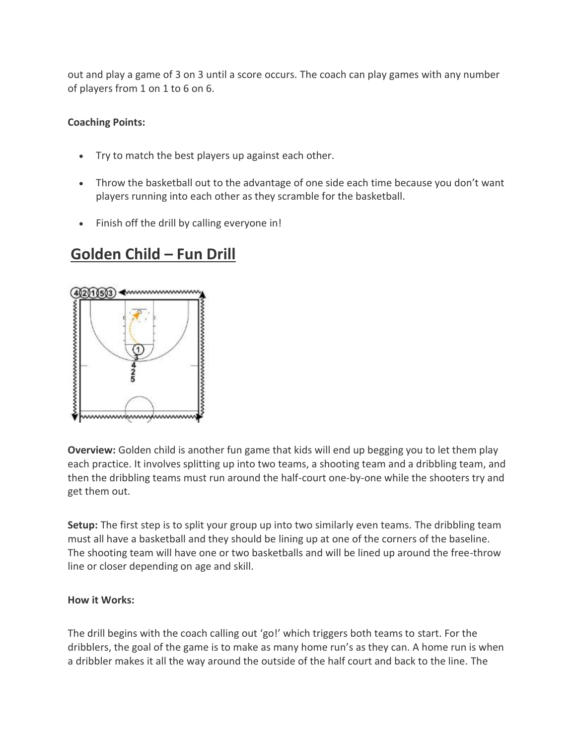out and play a game of 3 on 3 until a score occurs. The coach can play games with any number of players from 1 on 1 to 6 on 6.

#### **Coaching Points:**

- Try to match the best players up against each other.
- Throw the basketball out to the advantage of one side each time because you don't want players running into each other as they scramble for the basketball.
- Finish off the drill by calling everyone in!

## **Golden Child – Fun Drill**



**Overview:** Golden child is another fun game that kids will end up begging you to let them play each practice. It involves splitting up into two teams, a shooting team and a dribbling team, and then the dribbling teams must run around the half-court one-by-one while the shooters try and get them out.

**Setup:** The first step is to split your group up into two similarly even teams. The dribbling team must all have a basketball and they should be lining up at one of the corners of the baseline. The shooting team will have one or two basketballs and will be lined up around the free-throw line or closer depending on age and skill.

#### **How it Works:**

The drill begins with the coach calling out 'go!' which triggers both teams to start. For the dribblers, the goal of the game is to make as many home run's as they can. A home run is when a dribbler makes it all the way around the outside of the half court and back to the line. The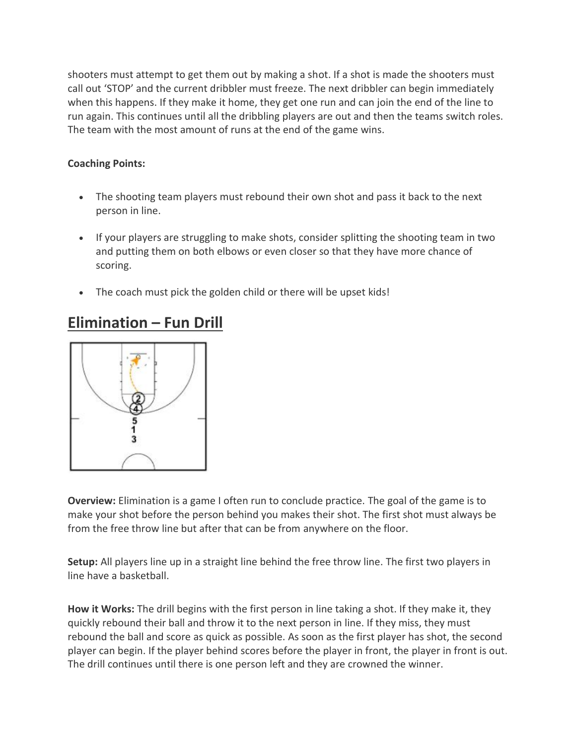shooters must attempt to get them out by making a shot. If a shot is made the shooters must call out 'STOP' and the current dribbler must freeze. The next dribbler can begin immediately when this happens. If they make it home, they get one run and can join the end of the line to run again. This continues until all the dribbling players are out and then the teams switch roles. The team with the most amount of runs at the end of the game wins.

## **Coaching Points:**

- The shooting team players must rebound their own shot and pass it back to the next person in line.
- If your players are struggling to make shots, consider splitting the shooting team in two and putting them on both elbows or even closer so that they have more chance of scoring.
- The coach must pick the golden child or there will be upset kids!

## **Elimination – Fun Drill**



**Overview:** Elimination is a game I often run to conclude practice. The goal of the game is to make your shot before the person behind you makes their shot. The first shot must always be from the free throw line but after that can be from anywhere on the floor.

**Setup:** All players line up in a straight line behind the free throw line. The first two players in line have a basketball.

**How it Works:** The drill begins with the first person in line taking a shot. If they make it, they quickly rebound their ball and throw it to the next person in line. If they miss, they must rebound the ball and score as quick as possible. As soon as the first player has shot, the second player can begin. If the player behind scores before the player in front, the player in front is out. The drill continues until there is one person left and they are crowned the winner.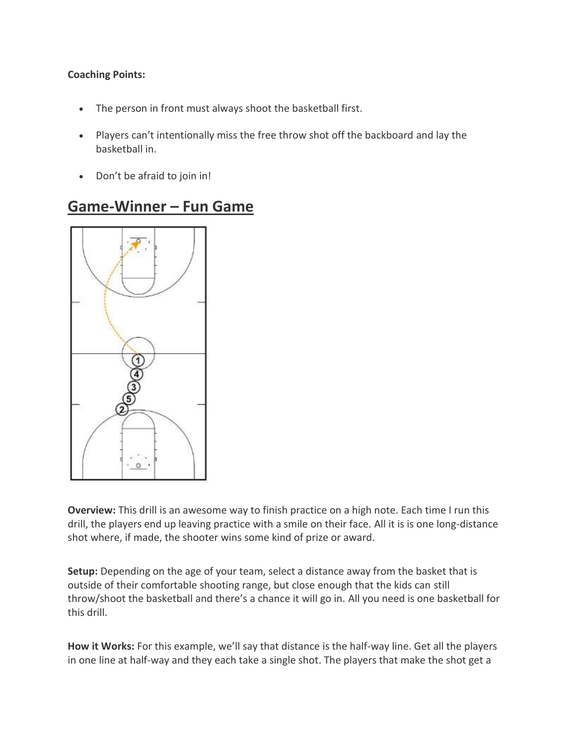- The person in front must always shoot the basketball first.
- Players can't intentionally miss the free throw shot off the backboard and lay the basketball in.
- Don't be afraid to join in!

## **Game-Winner – Fun Game**



**Overview:** This drill is an awesome way to finish practice on a high note. Each time I run this drill, the players end up leaving practice with a smile on their face. All it is is one long-distance shot where, if made, the shooter wins some kind of prize or award.

**Setup:** Depending on the age of your team, select a distance away from the basket that is outside of their comfortable shooting range, but close enough that the kids can still throw/shoot the basketball and there's a chance it will go in. All you need is one basketball for this drill.

**How it Works:** For this example, we'll say that distance is the half-way line. Get all the players in one line at half-way and they each take a single shot. The players that make the shot get a